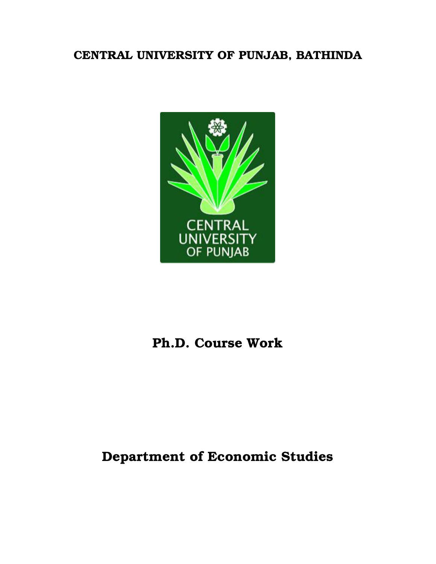## CENTRAL UNIVERSITY OF PUNJAB, BATHINDA



# Ph.D. Course Work

# Department of Economic Studies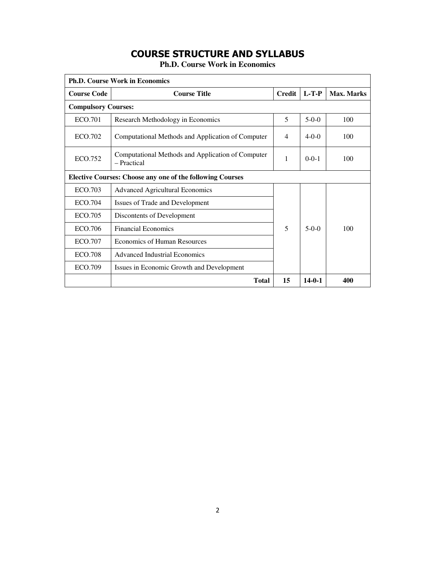## **COURSE STRUCTURE AND SYLLABUS**

**Ph.D. Course Work in Economics** 

| <b>Ph.D. Course Work in Economics</b>                            |                                                                  |                |              |            |  |
|------------------------------------------------------------------|------------------------------------------------------------------|----------------|--------------|------------|--|
| <b>Course Code</b>                                               | <b>Course Title</b>                                              | <b>Credit</b>  | $L-T-P$      | Max. Marks |  |
| <b>Compulsory Courses:</b>                                       |                                                                  |                |              |            |  |
| ECO.701                                                          | Research Methodology in Economics                                | 5              | $5-0-0$      | 100        |  |
| ECO.702                                                          | Computational Methods and Application of Computer                | $\overline{4}$ | $4-0-0$      | 100        |  |
| ECO.752                                                          | Computational Methods and Application of Computer<br>- Practical | 1              | $0 - 0 - 1$  | 100        |  |
| <b>Elective Courses: Choose any one of the following Courses</b> |                                                                  |                |              |            |  |
| ECO.703                                                          | <b>Advanced Agricultural Economics</b>                           |                |              |            |  |
| ECO.704                                                          | Issues of Trade and Development                                  |                |              |            |  |
| ECO.705                                                          | Discontents of Development                                       |                |              |            |  |
| ECO.706                                                          | <b>Financial Economics</b>                                       | 5              | $5-0-0$      | 100        |  |
| ECO.707                                                          | <b>Economics of Human Resources</b>                              |                |              |            |  |
| <b>ECO.708</b>                                                   | <b>Advanced Industrial Economics</b>                             |                |              |            |  |
| ECO.709                                                          | Issues in Economic Growth and Development                        |                |              |            |  |
|                                                                  | <b>Total</b>                                                     | 15             | $14 - 0 - 1$ | 400        |  |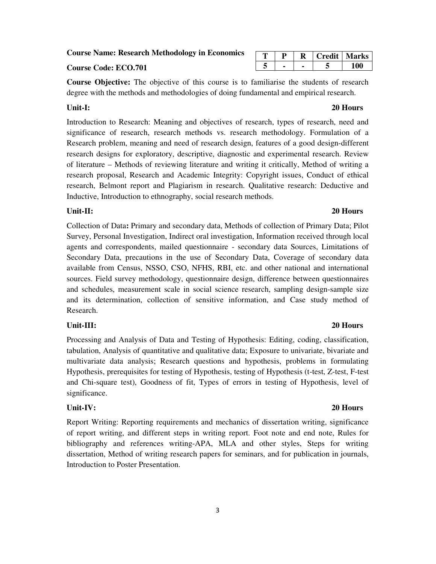**Course Name: Research Methodology in Economics** 

#### **Course Code: ECO.701**

**Course Objective:** The objective of this course is to familiarise the students of research degree with the methods and methodologies of doing fundamental and empirical research.

Introduction to Research: Meaning and objectives of research, types of research, need and significance of research, research methods vs. research methodology. Formulation of a Research problem, meaning and need of research design, features of a good design-different research designs for exploratory, descriptive, diagnostic and experimental research. Review of literature – Methods of reviewing literature and writing it critically, Method of writing a research proposal, Research and Academic Integrity: Copyright issues, Conduct of ethical research, Belmont report and Plagiarism in research. Qualitative research: Deductive and Inductive, Introduction to ethnography, social research methods.

### **Unit-II: 20 Hours**

Collection of Data**:** Primary and secondary data, Methods of collection of Primary Data; Pilot Survey, Personal Investigation, Indirect oral investigation, Information received through local agents and correspondents, mailed questionnaire - secondary data Sources, Limitations of Secondary Data, precautions in the use of Secondary Data, Coverage of secondary data available from Census, NSSO, CSO, NFHS, RBI, etc. and other national and international sources. Field survey methodology, questionnaire design, difference between questionnaires and schedules, measurement scale in social science research, sampling design-sample size and its determination, collection of sensitive information, and Case study method of Research.

#### **Unit-III: 20 Hours**

Processing and Analysis of Data and Testing of Hypothesis: Editing, coding, classification, tabulation, Analysis of quantitative and qualitative data; Exposure to univariate, bivariate and multivariate data analysis; Research questions and hypothesis, problems in formulating Hypothesis, prerequisites for testing of Hypothesis, testing of Hypothesis (t-test, Z-test, F-test and Chi-square test), Goodness of fit, Types of errors in testing of Hypothesis, level of significance.

### **Unit-IV: 20 Hours**

Report Writing: Reporting requirements and mechanics of dissertation writing, significance of report writing, and different steps in writing report. Foot note and end note, Rules for bibliography and references writing-APA, MLA and other styles, Steps for writing dissertation, Method of writing research papers for seminars, and for publication in journals, Introduction to Poster Presentation.

### **T P R Credit Marks**  $5$   $5$   $100$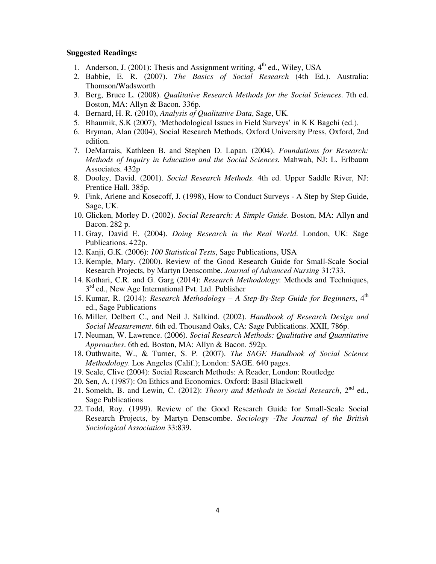#### **Suggested Readings:**

- 1. Anderson, J. (2001): Thesis and Assignment writing,  $4<sup>th</sup>$  ed., Wiley, USA
- 2. Babbie, E. R. (2007). *The Basics of Social Research* (4th Ed.). Australia: Thomson/Wadsworth
- 3. Berg, Bruce L. (2008). *Qualitative Research Methods for the Social Sciences*. 7th ed. Boston, MA: Allyn & Bacon. 336p.
- 4. Bernard, H. R. (2010), *Analysis of Qualitative Data*, Sage, UK.
- 5. Bhaumik, S.K (2007), 'Methodological Issues in Field Surveys' in K K Bagchi (ed.).
- 6. Bryman, Alan (2004), Social Research Methods, Oxford University Press, Oxford, 2nd edition.
- 7. DeMarrais, Kathleen B. and Stephen D. Lapan. (2004). *Foundations for Research: Methods of Inquiry in Education and the Social Sciences.* Mahwah, NJ: L. Erlbaum Associates. 432p
- 8. Dooley, David. (2001). *Social Research Methods*. 4th ed. Upper Saddle River, NJ: Prentice Hall. 385p.
- 9. Fink, Arlene and Kosecoff, J. (1998), How to Conduct Surveys A Step by Step Guide, Sage, UK.
- 10. Glicken, Morley D. (2002). *Social Research: A Simple Guide*. Boston, MA: Allyn and Bacon. 282 p.
- 11. Gray, David E. (2004). *Doing Research in the Real World*. London, UK: Sage Publications. 422p.
- 12. Kanji, G.K. (2006): *100 Statistical Tests*, Sage Publications, USA
- 13. Kemple, Mary. (2000). Review of the Good Research Guide for Small-Scale Social Research Projects, by Martyn Denscombe. *Journal of Advanced Nursing* 31:733.
- 14. Kothari, C.R. and G. Garg (2014): *Research Methodology*: Methods and Techniques, 3<sup>rd</sup> ed., New Age International Pvt. Ltd. Publisher
- 15. Kumar, R. (2014): *Research Methodology A Step-By-Step Guide for Beginners*,  $4<sup>th</sup>$ ed., Sage Publications
- 16. Miller, Delbert C., and Neil J. Salkind. (2002). *Handbook of Research Design and Social Measurement*. 6th ed. Thousand Oaks, CA: Sage Publications. XXII, 786p.
- 17. Neuman, W. Lawrence. (2006). *Social Research Methods: Qualitative and Quantitative Approaches*. 6th ed. Boston, MA: Allyn & Bacon. 592p.
- 18. Outhwaite, W., & Turner, S. P. (2007). *The SAGE Handbook of Social Science Methodology*. Los Angeles (Calif.); London: SAGE. 640 pages.
- 19. Seale, Clive (2004): Social Research Methods: A Reader, London: Routledge
- 20. Sen, A. (1987): On Ethics and Economics. Oxford: Basil Blackwell
- 21. Somekh, B. and Lewin, C. (2012): *Theory and Methods in Social Research*, 2nd ed., Sage Publications
- 22. Todd, Roy. (1999). Review of the Good Research Guide for Small-Scale Social Research Projects, by Martyn Denscombe. *Sociology -The Journal of the British Sociological Association* 33:839.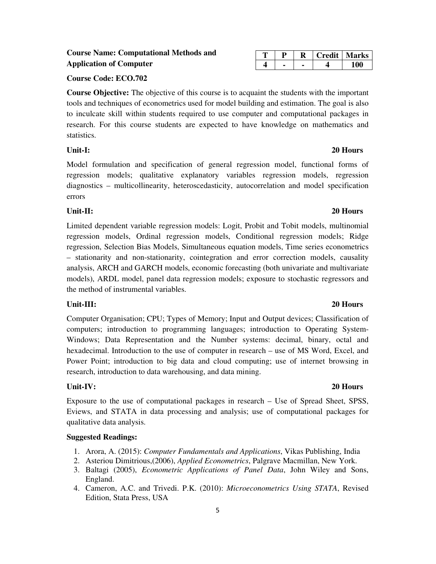### **Course Name: Computational Methods and Application of Computer**

### **Course Code: ECO.702**

**Course Objective:** The objective of this course is to acquaint the students with the important tools and techniques of econometrics used for model building and estimation. The goal is also to inculcate skill within students required to use computer and computational packages in research. For this course students are expected to have knowledge on mathematics and statistics.

Model formulation and specification of general regression model, functional forms of regression models; qualitative explanatory variables regression models, regression diagnostics – multicollinearity, heteroscedasticity, autocorrelation and model specification errors

### **Unit-II: 20 Hours**

Limited dependent variable regression models: Logit, Probit and Tobit models, multinomial regression models, Ordinal regression models, Conditional regression models; Ridge regression, Selection Bias Models, Simultaneous equation models, Time series econometrics – stationarity and non-stationarity, cointegration and error correction models, causality analysis, ARCH and GARCH models, economic forecasting (both univariate and multivariate models), ARDL model, panel data regression models; exposure to stochastic regressors and the method of instrumental variables.

### **Unit-III: 20 Hours**

Computer Organisation; CPU; Types of Memory; Input and Output devices; Classification of computers; introduction to programming languages; introduction to Operating System-Windows; Data Representation and the Number systems: decimal, binary, octal and hexadecimal. Introduction to the use of computer in research – use of MS Word, Excel, and Power Point; introduction to big data and cloud computing; use of internet browsing in research, introduction to data warehousing, and data mining.

### **Unit-IV: 20 Hours**

Exposure to the use of computational packages in research – Use of Spread Sheet, SPSS, Eviews, and STATA in data processing and analysis; use of computational packages for qualitative data analysis.

### **Suggested Readings:**

- 1. Arora, A. (2015): *Computer Fundamentals and Applications*, Vikas Publishing, India
- 2. Asteriou Dimitrious,(2006), *Applied Econometrics*, Palgrave Macmillan, New York.
- 3. Baltagi (2005), *Econometric Applications of Panel Data*, John Wiley and Sons, England.
- 4. Cameron, A.C. and Trivedi. P.K. (2010): *Microeconometrics Using STATA*, Revised Edition, Stata Press, USA

### **T P R Credit Marks 4 - - 4 100**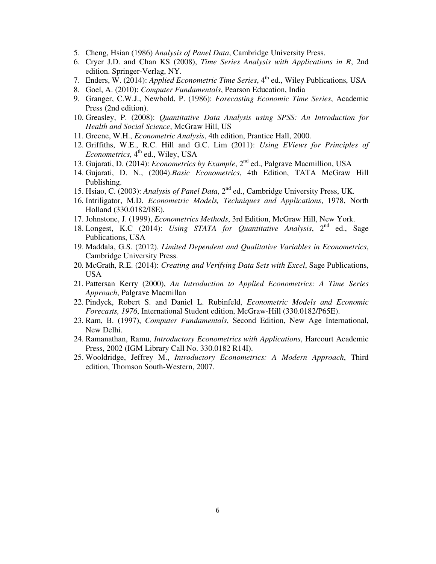- 5. Cheng, Hsian (1986) *Analysis of Panel Data*, Cambridge University Press.
- 6. Cryer J.D. and Chan KS (2008), *Time Series Analysis with Applications in R*, 2nd edition. Springer-Verlag, NY.
- 7. Enders, W. (2014): *Applied Econometric Time Series*, 4<sup>th</sup> ed., Wiley Publications, USA
- 8. Goel, A. (2010): *Computer Fundamentals*, Pearson Education, India
- 9. Granger, C.W.J., Newbold, P. (1986): *Forecasting Economic Time Series*, Academic Press (2nd edition).
- 10. Greasley, P. (2008): *Quantitative Data Analysis using SPSS: An Introduction for Health and Social Science*, McGraw Hill, US
- 11. Greene, W.H., *Econometric Analysis*, 4th edition, Prantice Hall, 2000.
- 12. Griffiths, W.E., R.C. Hill and G.C. Lim (2011): *Using EViews for Principles of Econometrics*, 4<sup>th</sup> ed., Wiley, USA
- 13. Gujarati, D. (2014): *Econometrics by Example*, 2nd ed., Palgrave Macmillion, USA
- 14. Gujarati, D. N., (2004).*Basic Econometrics*, 4th Edition, TATA McGraw Hill Publishing.
- 15. Hsiao, C. (2003): *Analysis of Panel Data*, 2nd ed., Cambridge University Press, UK.
- 16. Intriligator, M.D. *Econometric Models, Techniques and Applications*, 1978, North Holland (330.0182/I8E).
- 17. Johnstone, J. (1999), *Econometrics Methods*, 3rd Edition, McGraw Hill, New York.
- 18. Longest, K.C (2014): *Using STATA for Quantitative Analysis*, 2nd ed., Sage Publications, USA
- 19. Maddala, G.S. (2012). *Limited Dependent and Qualitative Variables in Econometrics*, Cambridge University Press.
- 20. McGrath, R.E. (2014): *Creating and Verifying Data Sets with Excel*, Sage Publications, USA
- 21. Pattersan Kerry (2000), *An Introduction to Applied Econometrics: A Time Series Approach*, Palgrave Macmillan
- 22. Pindyck, Robert S. and Daniel L. Rubinfeld, *Econometric Models and Economic Forecasts, 1976*, International Student edition, McGraw-Hill (330.0182/P65E).
- 23. Ram, B. (1997), *Computer Fundamentals*, Second Edition, New Age International, New Delhi.
- 24. Ramanathan, Ramu, *Introductory Econometrics with Applications*, Harcourt Academic Press, 2002 (IGM Library Call No. 330.0182 R14I).
- 25. Wooldridge, Jeffrey M., *Introductory Econometrics: A Modern Approach*, Third edition, Thomson South-Western, 2007.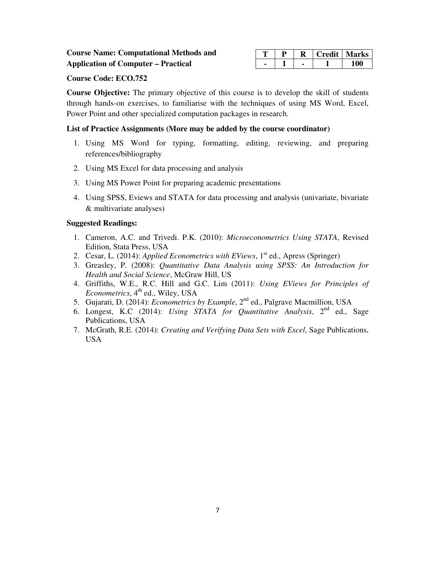|  |  | <b>Credit   Marks</b> |
|--|--|-----------------------|
|  |  |                       |

#### **Course Code: ECO.752**

**Course Objective:** The primary objective of this course is to develop the skill of students through hands-on exercises, to familiarise with the techniques of using MS Word, Excel, Power Point and other specialized computation packages in research.

### **List of Practice Assignments (More may be added by the course coordinator)**

- 1. Using MS Word for typing, formatting, editing, reviewing, and preparing references/bibliography
- 2. Using MS Excel for data processing and analysis
- 3. Using MS Power Point for preparing academic presentations
- 4. Using SPSS, Eviews and STATA for data processing and analysis (univariate, bivariate & multivariate analyses)

#### **Suggested Readings:**

- 1. Cameron, A.C. and Trivedi. P.K. (2010): *Microeconometrics Using STATA*, Revised Edition, Stata Press, USA
- 2. Cesar, L. (2014): *Applied Econometrics with EViews*, 1<sup>st</sup> ed., Apress (Springer)
- 3. Greasley, P. (2008): *Quantitative Data Analysis using SPSS: An Introduction for Health and Social Science*, McGraw Hill, US
- 4. Griffiths, W.E., R.C. Hill and G.C. Lim (2011): *Using EViews for Principles of Econometrics*, 4<sup>th</sup> ed., Wiley, USA
- 5. Gujarati, D. (2014): *Econometrics by Example*, 2nd ed., Palgrave Macmillion, USA
- 6. Longest, K.C (2014): *Using STATA for Quantitative Analysis*, 2nd ed., Sage Publications, USA
- 7. McGrath, R.E. (2014): *Creating and Verifying Data Sets with Excel*, Sage Publications, USA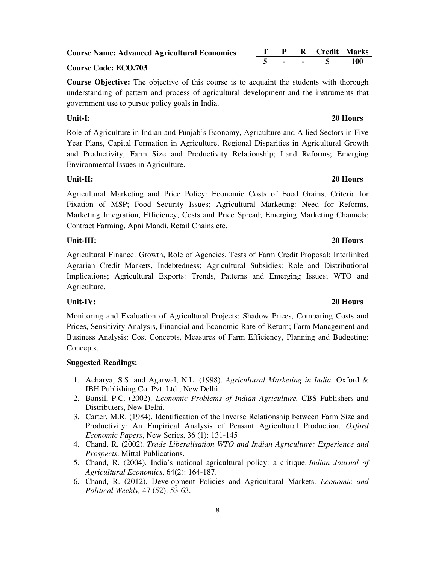**Course Name: Advanced Agricultural Economics** 

### **Course Code: ECO.703**

**Course Objective:** The objective of this course is to acquaint the students with thorough understanding of pattern and process of agricultural development and the instruments that government use to pursue policy goals in India.

### **Unit-I: 20 Hours**

Role of Agriculture in Indian and Punjab's Economy, Agriculture and Allied Sectors in Five Year Plans, Capital Formation in Agriculture, Regional Disparities in Agricultural Growth and Productivity, Farm Size and Productivity Relationship; Land Reforms; Emerging Environmental Issues in Agriculture.

### **Unit-II: 20 Hours**

Agricultural Marketing and Price Policy: Economic Costs of Food Grains, Criteria for Fixation of MSP; Food Security Issues; Agricultural Marketing: Need for Reforms, Marketing Integration, Efficiency, Costs and Price Spread; Emerging Marketing Channels: Contract Farming, Apni Mandi, Retail Chains etc.

### **Unit-III: 20 Hours**

Agricultural Finance: Growth, Role of Agencies, Tests of Farm Credit Proposal; Interlinked Agrarian Credit Markets, Indebtedness; Agricultural Subsidies: Role and Distributional Implications; Agricultural Exports: Trends, Patterns and Emerging Issues; WTO and Agriculture.

### **Unit-IV: 20 Hours**

Monitoring and Evaluation of Agricultural Projects: Shadow Prices, Comparing Costs and Prices, Sensitivity Analysis, Financial and Economic Rate of Return; Farm Management and Business Analysis: Cost Concepts, Measures of Farm Efficiency, Planning and Budgeting: Concepts.

### **Suggested Readings:**

- 1. Acharya, S.S. and Agarwal, N.L. (1998). *Agricultural Marketing in India*. Oxford & IBH Publishing Co. Pvt. Ltd., New Delhi.
- 2. Bansil, P.C. (2002). *Economic Problems of Indian Agriculture.* CBS Publishers and Distributers, New Delhi.
- 3. Carter, M.R. (1984). Identification of the Inverse Relationship between Farm Size and Productivity: An Empirical Analysis of Peasant Agricultural Production. *Oxford Economic Papers*, New Series, 36 (1): 131-145
- 4. Chand, R. (2002). *Trade Liberalisation WTO and Indian Agriculture: Experience and Prospects*. Mittal Publications.
- 5. Chand, R. (2004). India's national agricultural policy: a critique. *Indian Journal of Agricultural Economics*, 64(2): 164-187.
- 6. Chand, R. (2012). Development Policies and Agricultural Markets. *Economic and Political Weekly,* 47 (52): 53-63.

### **T P R Credit Marks 5 - - 5 100**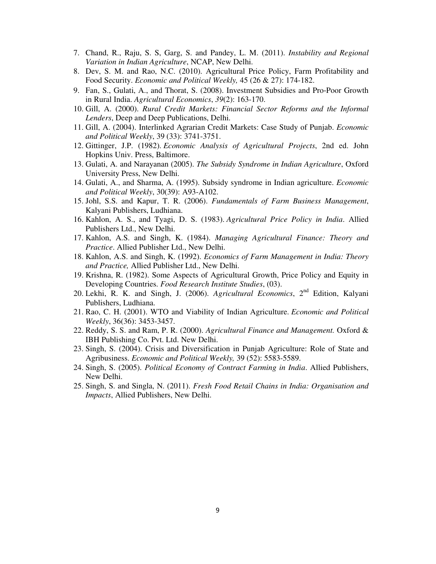- 7. Chand, R., Raju, S. S, Garg, S. and Pandey, L. M. (2011). *Instability and Regional Variation in Indian Agriculture*, NCAP, New Delhi.
- 8. Dev, S. M. and Rao, N.C. (2010). Agricultural Price Policy, Farm Profitability and Food Security. *Economic and Political Weekly,* 45 (26 & 27): 174-182.
- 9. Fan, S., Gulati, A., and Thorat, S. (2008). Investment Subsidies and Pro‐Poor Growth in Rural India. *Agricultural Economics*, *39*(2): 163-170.
- 10. Gill, A. (2000). *Rural Credit Markets: Financial Sector Reforms and the Informal Lenders*, Deep and Deep Publications, Delhi.
- 11. Gill, A. (2004). Interlinked Agrarian Credit Markets: Case Study of Punjab. *Economic and Political Weekly*, 39 (33): 3741-3751.
- 12. Gittinger, J.P. (1982). *Economic Analysis of Agricultural Projects*, 2nd ed. John Hopkins Univ. Press, Baltimore.
- 13. Gulati, A. and Narayanan (2005). *The Subsidy Syndrome in Indian Agriculture*, Oxford University Press, New Delhi.
- 14. Gulati, A., and Sharma, A. (1995). Subsidy syndrome in Indian agriculture. *Economic and Political Weekly*, 30(39): A93-A102.
- 15. Johl, S.S. and Kapur, T. R. (2006). *Fundamentals of Farm Business Management*, Kalyani Publishers, Ludhiana.
- 16. Kahlon, A. S., and Tyagi, D. S. (1983). *Agricultural Price Policy in India*. Allied Publishers Ltd., New Delhi.
- 17. Kahlon, A.S. and Singh, K. (1984). *Managing Agricultural Finance: Theory and Practice*. Allied Publisher Ltd., New Delhi.
- 18. Kahlon, A.S. and Singh, K. (1992). *Economics of Farm Management in India: Theory and Practice,* Allied Publisher Ltd., New Delhi.
- 19. Krishna, R. (1982). Some Aspects of Agricultural Growth, Price Policy and Equity in Developing Countries. *Food Research Institute Studies*, (03).
- 20. Lekhi, R. K. and Singh, J. (2006). *Agricultural Economics*, 2nd Edition, Kalyani Publishers, Ludhiana.
- 21. Rao, C. H. (2001). WTO and Viability of Indian Agriculture. *Economic and Political Weekly*, 36(36): 3453-3457.
- 22. Reddy, S. S. and Ram, P. R. (2000). *Agricultural Finance and Management.* Oxford & IBH Publishing Co. Pvt. Ltd. New Delhi.
- 23. Singh, S. (2004). Crisis and Diversification in Punjab Agriculture: Role of State and Agribusiness. *Economic and Political Weekly,* 39 (52): 5583-5589.
- 24. Singh, S. (2005). *Political Economy of Contract Farming in India*. Allied Publishers, New Delhi.
- 25. Singh, S. and Singla, N. (2011). *Fresh Food Retail Chains in India: Organisation and Impacts*, Allied Publishers, New Delhi.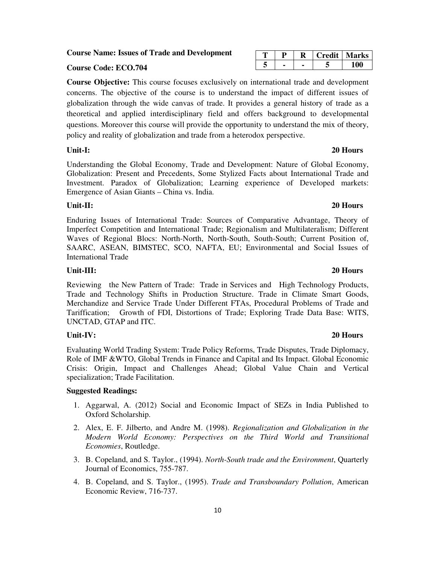### **Course Name: Issues of Trade and Development**

### **Course Code: ECO.704**

**Course Objective:** This course focuses exclusively on international trade and development concerns. The objective of the course is to understand the impact of different issues of globalization through the wide canvas of trade. It provides a general history of trade as a theoretical and applied interdisciplinary field and offers background to developmental questions. Moreover this course will provide the opportunity to understand the mix of theory, policy and reality of globalization and trade from a heterodox perspective.

Understanding the Global Economy, Trade and Development: Nature of Global Economy, Globalization: Present and Precedents, Some Stylized Facts about International Trade and Investment. Paradox of Globalization; Learning experience of Developed markets: Emergence of Asian Giants – China vs. India.

### **Unit-II: 20 Hours**

Enduring Issues of International Trade: Sources of Comparative Advantage, Theory of Imperfect Competition and International Trade; Regionalism and Multilateralism; Different Waves of Regional Blocs: North-North, North-South, South-South; Current Position of, SAARC, ASEAN, BIMSTEC, SCO, NAFTA, EU; Environmental and Social Issues of International Trade

#### **Unit-III: 20 Hours**

Reviewing the New Pattern of Trade: Trade in Services and High Technology Products, Trade and Technology Shifts in Production Structure. Trade in Climate Smart Goods, Merchandize and Service Trade Under Different FTAs, Procedural Problems of Trade and Tariffication; Growth of FDI, Distortions of Trade; Exploring Trade Data Base: WITS, UNCTAD, GTAP and ITC.

### **Unit-IV: 20 Hours**

Evaluating World Trading System: Trade Policy Reforms, Trade Disputes, Trade Diplomacy, Role of IMF &WTO, Global Trends in Finance and Capital and Its Impact. Global Economic Crisis: Origin, Impact and Challenges Ahead; Global Value Chain and Vertical specialization; Trade Facilitation.

#### **Suggested Readings:**

- 1. Aggarwal, A. (2012) Social and Economic Impact of SEZs in India Published to Oxford Scholarship.
- 2. Alex, E. F. Jilberto, and Andre M. (1998). *Regionalization and Globalization in the Modern World Economy: Perspectives on the Third World and Transitional Economies*, Routledge.
- 3. B. Copeland, and S. Taylor., (1994). *North-South trade and the Environment*, Quarterly Journal of Economics, 755-787.
- 4. B. Copeland, and S. Taylor., (1995). *Trade and Transboundary Pollution*, American Economic Review, 716-737.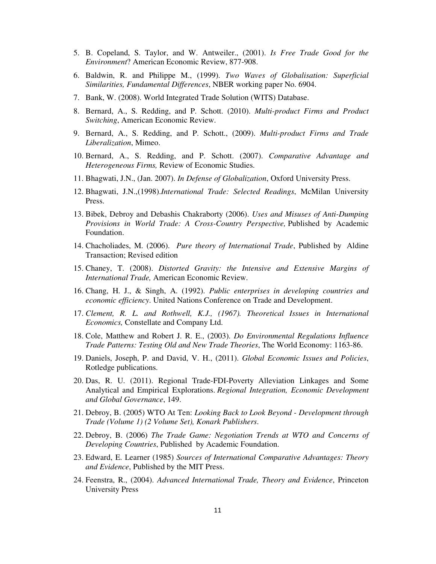- 5. B. Copeland, S. Taylor, and W. Antweiler., (2001). *Is Free Trade Good for the Environment*? American Economic Review, 877-908.
- 6. Baldwin, R. and Philippe M., (1999). *Two Waves of Globalisation: Superficial Similarities, Fundamental Differences*, NBER working paper No. 6904.
- 7. Bank, W. (2008). World Integrated Trade Solution (WITS) Database.
- 8. Bernard, A., S. Redding, and P. Schott. (2010). *Multi-product Firms and Product Switching*, American Economic Review.
- 9. Bernard, A., S. Redding, and P. Schott., (2009). *Multi-product Firms and Trade Liberalization*, Mimeo.
- 10. Bernard, A., S. Redding, and P. Schott. (2007). *Comparative Advantage and Heterogeneous Firms,* Review of Economic Studies.
- 11. Bhagwati, J.N., (Jan. 2007). *In Defense of Globalization*, Oxford University Press.
- 12. Bhagwati, J.N.,(1998).*International Trade: Selected Readings*, McMilan University Press.
- 13. Bibek, Debroy and Debashis Chakraborty (2006). *Uses and Misuses of Anti-Dumping Provisions in World Trade: A Cross-Country Perspective,* Published by Academic Foundation.
- 14. Chacholiades, M. (2006). *Pure theory of International Trade*, Published by Aldine Transaction; Revised edition
- 15. Chaney, T. (2008). *Distorted Gravity: the Intensive and Extensive Margins of International Trade,* American Economic Review.
- 16. Chang, H. J., & Singh, A. (1992). *Public enterprises in developing countries and economic efficiency*. United Nations Conference on Trade and Development.
- 17. *Clement, R. L. and Rothwell, K.J., (1967). Theoretical Issues in International Economics,* Constellate and Company Ltd.
- 18. Cole, Matthew and Robert J. R. E., (2003). *Do Environmental Regulations Influence Trade Patterns: Testing Old and New Trade Theories*, The World Economy: 1163-86.
- 19. Daniels, Joseph, P. and David, V. H., (2011). *Global Economic Issues and Policies*, Rotledge publications.
- 20. Das, R. U. (2011). Regional Trade-FDI-Poverty Alleviation Linkages and Some Analytical and Empirical Explorations. *Regional Integration, Economic Development and Global Governance*, 149.
- 21. Debroy, B. (2005) WTO At Ten: *Looking Back to Look Beyond Development through Trade (Volume 1) (2 Volume Set), Konark Publishers*.
- 22. Debroy, B. (2006) *The Trade Game: Negotiation Trends at WTO and Concerns of Developing Countries*, Published by Academic Foundation.
- 23. Edward, E. Learner (1985) *Sources of International Comparative Advantages: Theory and Evidence*, Published by the MIT Press.
- 24. Feenstra, R., (2004). *Advanced International Trade, Theory and Evidence*, Princeton University Press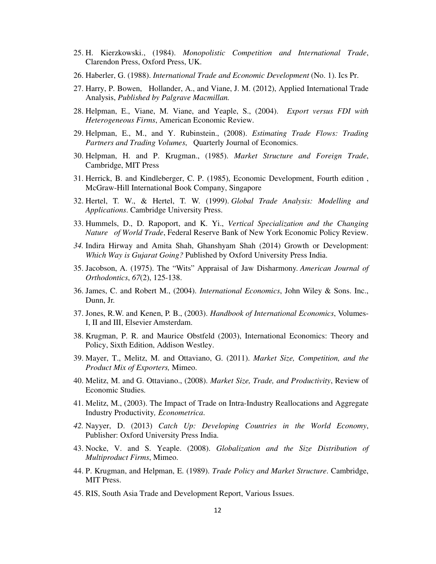- 25. H. Kierzkowski., (1984). *Monopolistic Competition and International Trade*, Clarendon Press, Oxford Press, UK.
- 26. Haberler, G. (1988). *International Trade and Economic Development* (No. 1). Ics Pr.
- 27. Harry, P. Bowen, Hollander, A., and Viane, J. M. (2012), Applied International Trade Analysis, *Published by Palgrave Macmillan.*
- 28. Helpman, E., Viane, M. Viane, and Yeaple, S., (2004). *Export versus FDI with Heterogeneous Firms*, American Economic Review.
- 29. Helpman, E., M., and Y. Rubinstein., (2008). *Estimating Trade Flows: Trading Partners and Trading Volumes*, Quarterly Journal of Economics.
- 30. Helpman, H. and P. Krugman., (1985). *Market Structure and Foreign Trade*, Cambridge, MIT Press
- 31. Herrick, B. and Kindleberger, C. P. (1985), Economic Development, Fourth edition , McGraw-Hill International Book Company, Singapore
- 32. Hertel, T. W., & Hertel, T. W. (1999). *Global Trade Analysis: Modelling and Applications*. Cambridge University Press.
- 33. Hummels, D., D. Rapoport, and K. Yi., *Vertical Specialization and the Changing Nature of World Trade*, Federal Reserve Bank of New York Economic Policy Review.
- *34.* Indira Hirway and Amita Shah, Ghanshyam Shah (2014) Growth or Development: *Which Way is Gujarat Going?* Published by Oxford University Press India.
- 35. Jacobson, A. (1975). The "Wits" Appraisal of Jaw Disharmony. *American Journal of Orthodontics*, *67*(2), 125-138.
- 36. James, C. and Robert M., (2004). *International Economics*, John Wiley & Sons. Inc., Dunn, Jr.
- 37. Jones, R.W. and Kenen, P. B., (2003). *Handbook of International Economics*, Volumes-I, II and III, Elsevier Amsterdam.
- 38. Krugman, P. R. and Maurice Obstfeld (2003), International Economics: Theory and Policy, Sixth Edition, Addison Westley.
- 39. Mayer, T., Melitz, M. and Ottaviano, G. (2011). *Market Size, Competition, and the Product Mix of Exporters,* Mimeo.
- 40. Melitz, M. and G. Ottaviano., (2008). *Market Size, Trade, and Productivity*, Review of Economic Studies.
- 41. Melitz, M., (2003). The Impact of Trade on Intra-Industry Reallocations and Aggregate Industry Productivity*, Econometrica*.
- *42.* Nayyer, D. (2013) *Catch Up: Developing Countries in the World Economy*, Publisher: Oxford University Press India.
- 43. Nocke, V. and S. Yeaple. (2008). *Globalization and the Size Distribution of Multiproduct Firms*, Mimeo.
- 44. P. Krugman, and Helpman, E. (1989). *Trade Policy and Market Structure*. Cambridge, MIT Press.
- 45. RIS, South Asia Trade and Development Report, Various Issues.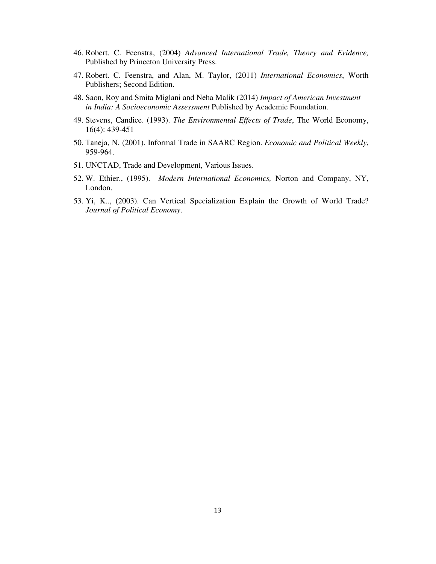- 46. Robert. C. Feenstra, (2004) *Advanced International Trade, Theory and Evidence,*  Published by Princeton University Press.
- 47. Robert. C. Feenstra, and Alan, M. Taylor, (2011) *International Economics*, Worth Publishers; Second Edition.
- 48. Saon, Roy and Smita Miglani and Neha Malik (2014) *Impact of American Investment in India: A Socioeconomic Assessment* Published by Academic Foundation.
- 49. Stevens, Candice. (1993). *The Environmental Effects of Trade*, The World Economy, 16(4): 439-451
- 50. Taneja, N. (2001). Informal Trade in SAARC Region. *Economic and Political Weekly*, 959-964.
- 51. UNCTAD, Trade and Development, Various Issues.
- 52. W. Ethier., (1995). *Modern International Economics,* Norton and Company, NY, London.
- 53. Yi, K.., (2003). Can Vertical Specialization Explain the Growth of World Trade? *Journal of Political Economy*.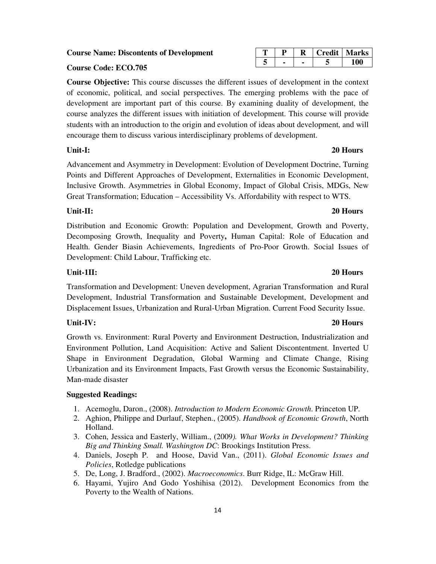6. Hayami, Yujiro And Godo Yoshihisa (2012). Development Economics from the Poverty to the Wealth of Nations.

### course analyzes the different issues with initiation of development. This course will provide students with an introduction to the origin and evolution of ideas about development, and will

**Course Code: ECO.705** 

#### **Unit-I: 20 Hours**

Advancement and Asymmetry in Development: Evolution of Development Doctrine, Turning Points and Different Approaches of Development, Externalities in Economic Development, Inclusive Growth. Asymmetries in Global Economy, Impact of Global Crisis, MDGs, New Great Transformation; Education – Accessibility Vs. Affordability with respect to WTS.

encourage them to discuss various interdisciplinary problems of development.

#### **Unit-II: 20 Hours**

Distribution and Economic Growth: Population and Development, Growth and Poverty, Decomposing Growth, Inequality and Poverty**,** Human Capital: Role of Education and Health. Gender Biasin Achievements, Ingredients of Pro-Poor Growth. Social Issues of Development: Child Labour, Trafficking etc.

#### **Unit-1II: 20 Hours**

Transformation and Development: Uneven development, Agrarian Transformation and Rural Development, Industrial Transformation and Sustainable Development, Development and Displacement Issues, Urbanization and Rural-Urban Migration. Current Food Security Issue.

Growth vs. Environment: Rural Poverty and Environment Destruction, Industrialization and Environment Pollution, Land Acquisition: Active and Salient Discontentment. Inverted U Shape in Environment Degradation, Global Warming and Climate Change, Rising Urbanization and its Environment Impacts, Fast Growth versus the Economic Sustainability, Man-made disaster

#### **Suggested Readings:**

- 1. Acemoglu, Daron., (2008). *Introduction to Modern Economic Growth*. Princeton UP.
- 2. Aghion, Philippe and Durlauf, Stephen., (2005). *Handbook of Economic Growth*, North Holland.
- 3. Cohen, Jessica and Easterly, William., (2009*). What Works in Development? Thinking Big and Thinking Small. Washington DC*: Brookings Institution Press.
- 4. Daniels, Joseph P. and Hoose, David Van., (2011). *Global Economic Issues and Policies*, Rotledge publications
- 5. De, Long, J. Bradford., (2002). *Macroeconomics*. Burr Ridge, IL: McGraw Hill.
- 

**Course Objective:** This course discusses the different issues of development in the context of economic, political, and social perspectives. The emerging problems with the pace of development are important part of this course. By examining duality of development, the

### **T P R Credit Marks 5 - - 5 100**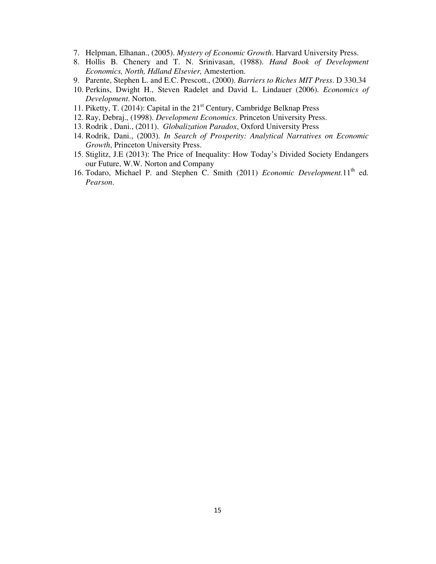- 7. Helpman, Elhanan., (2005). *Mystery of Economic Growth*. Harvard University Press.
- 8. Hollis B. Chenery and T. N. Srinivasan, (1988). *Hand Book of Development Economics, North, Hdland Elsevier,* Amestertion.
- 9. Parente, Stephen L. and E.C. Prescott., (2000). *Barriers to Riches MIT Press*. D 330.34
- 10. Perkins, Dwight H., Steven Radelet and David L. Lindauer (2006). *Economics of Development*. Norton.
- 11. Piketty, T. (2014): Capital in the  $21<sup>st</sup>$  Century, Cambridge Belknap Press
- 12. Ray, Debraj., (1998). *Development Economics*. Princeton University Press.
- 13. Rodrik , Dani., (2011). *Globalization Paradox*, Oxford University Press
- 14. Rodrik, Dani., (2003). *In Search of Prosperity: Analytical Narratives on Economic Growth*, Princeton University Press.
- 15. Stiglitz, J.E (2013): The Price of Inequality: How Today's Divided Society Endangers our Future, W.W. Norton and Company
- 16. Todaro, Michael P. and Stephen C. Smith (2011) *Economic Development*.11<sup>th</sup> ed. *Pearson*.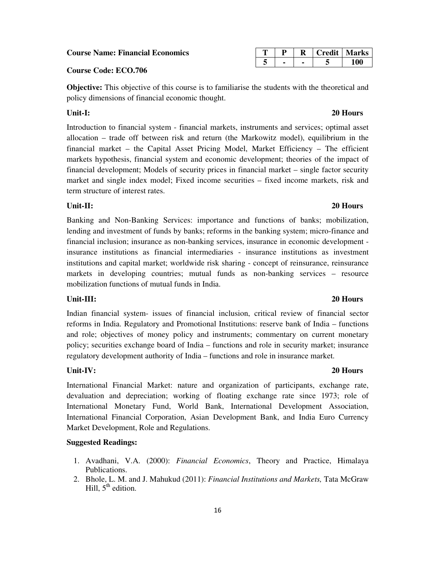#### **Course Name: Financial Economics**

#### **Course Code: ECO.706**

**Objective:** This objective of this course is to familiarise the students with the theoretical and policy dimensions of financial economic thought.

Introduction to financial system - financial markets, instruments and services; optimal asset allocation – trade off between risk and return (the Markowitz model), equilibrium in the financial market – the Capital Asset Pricing Model, Market Efficiency – The efficient markets hypothesis, financial system and economic development; theories of the impact of financial development; Models of security prices in financial market – single factor security market and single index model; Fixed income securities – fixed income markets, risk and term structure of interest rates.

#### **Unit-II: 20 Hours**

Banking and Non-Banking Services: importance and functions of banks; mobilization, lending and investment of funds by banks; reforms in the banking system; micro-finance and financial inclusion; insurance as non-banking services, insurance in economic development insurance institutions as financial intermediaries - insurance institutions as investment institutions and capital market; worldwide risk sharing - concept of reinsurance, reinsurance markets in developing countries; mutual funds as non-banking services – resource mobilization functions of mutual funds in India.

#### **Unit-III: 20 Hours**

Indian financial system- issues of financial inclusion, critical review of financial sector reforms in India. Regulatory and Promotional Institutions: reserve bank of India – functions and role; objectives of money policy and instruments; commentary on current monetary policy; securities exchange board of India – functions and role in security market; insurance regulatory development authority of India – functions and role in insurance market.

#### **Unit-IV: 20 Hours**

International Financial Market: nature and organization of participants, exchange rate, devaluation and depreciation; working of floating exchange rate since 1973; role of International Monetary Fund, World Bank, International Development Association, International Financial Corporation, Asian Development Bank, and India Euro Currency Market Development, Role and Regulations.

#### **Suggested Readings:**

- 1. Avadhani, V.A. (2000): *Financial Economics*, Theory and Practice, Himalaya Publications.
- 2. Bhole, L. M. and J. Mahukud (2011): *Financial Institutions and Markets,* Tata McGraw Hill,  $5<sup>th</sup>$  edition.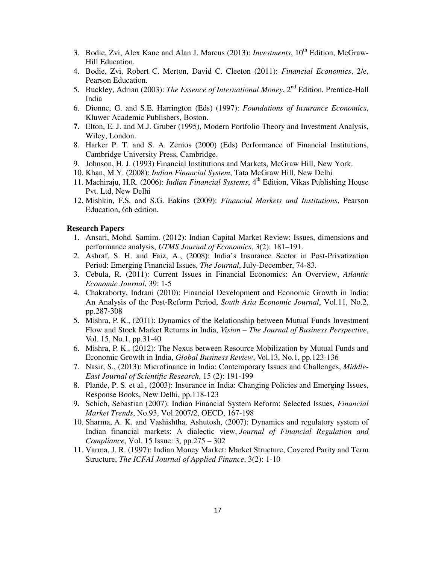- 3. Bodie, Zvi, Alex Kane and Alan J. Marcus (2013): *Investments*, 10<sup>th</sup> Edition, McGraw-Hill Education.
- 4. Bodie, Zvi, Robert C. Merton, David C. Cleeton (2011): *Financial Economics*, 2/e, Pearson Education.
- 5. Buckley, Adrian (2003): *The Essence of International Money*, 2nd Edition, Prentice-Hall India
- 6. Dionne, G. and S.E. Harrington (Eds) (1997): *Foundations of Insurance Economics*, Kluwer Academic Publishers, Boston.
- **7.** Elton, E. J. and M.J. Gruber (1995), Modern Portfolio Theory and Investment Analysis, Wiley, London.
- 8. Harker P. T. and S. A. Zenios (2000) (Eds) Performance of Financial Institutions, Cambridge University Press, Cambridge.
- 9. Johnson, H. J. (1993) Financial Institutions and Markets, McGraw Hill, New York.
- 10. Khan, M.Y. (2008): *Indian Financial System*, Tata McGraw Hill, New Delhi
- 11. Machiraju, H.R. (2006): *Indian Financial Systems*, 4<sup>th</sup> Edition, Vikas Publishing House Pvt. Ltd, New Delhi
- 12. Mishkin, F.S. and S.G. Eakins (2009): *Financial Markets and Institutions*, Pearson Education, 6th edition.

#### **Research Papers**

- 1. Ansari, Mohd. Samim. (2012): Indian Capital Market Review: Issues, dimensions and performance analysis, *UTMS Journal of Economics*, 3(2): 181–191.
- 2. Ashraf, S. H. and Faiz, A., (2008): India's Insurance Sector in Post-Privatization Period: Emerging Financial Issues, *The Journal*, July-December, 74-83.
- 3. Cebula, R. (2011): Current Issues in Financial Economics: An Overview, *Atlantic Economic Journal*, 39: 1-5
- 4. Chakraborty, Indrani (2010): Financial Development and Economic Growth in India: An Analysis of the Post-Reform Period, *South Asia Economic Journal*, Vol.11, No.2, pp.287-308
- 5. Mishra, P. K., (2011): Dynamics of the Relationship between Mutual Funds Investment Flow and Stock Market Returns in India, *Vision – The Journal of Business Perspective*, Vol. 15, No.1, pp.31-40
- 6. Mishra, P. K., (2012): The Nexus between Resource Mobilization by Mutual Funds and Economic Growth in India, *Global Business Review*, Vol.13, No.1, pp.123-136
- 7. Nasir, S., (2013): Microfinance in India: Contemporary Issues and Challenges, *Middle-East Journal of Scientific Research*, 15 (2): 191-199
- 8. Plande, P. S. et al., (2003): Insurance in India: Changing Policies and Emerging Issues, Response Books, New Delhi, pp.118-123
- 9. Schich, Sebastian (2007): Indian Financial System Reform: Selected Issues, *Financial Market Trends*, No.93, Vol.2007/2, OECD, 167-198
- 10. Sharma, A. K. and Vashishtha, Ashutosh, (2007): Dynamics and regulatory system of Indian financial markets: A dialectic view, *Journal of Financial Regulation and Compliance*, Vol. 15 Issue: 3, pp.275 – 302
- 11. Varma, J. R. (1997): Indian Money Market: Market Structure, Covered Parity and Term Structure, *The ICFAI Journal of Applied Finance*, 3(2): 1-10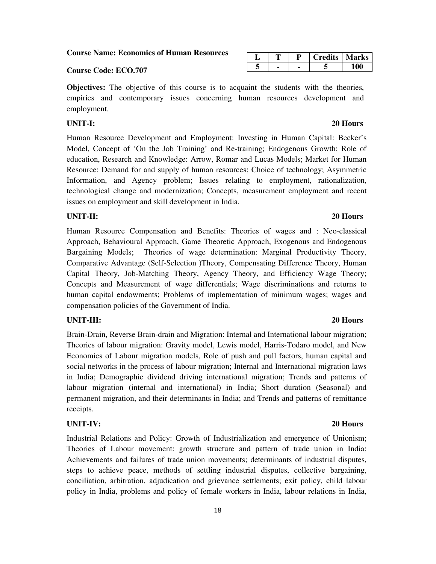**Course Name: Economics of Human Resources** 

#### **Course Code: ECO.707**

**Objectives:** The objective of this course is to acquaint the students with the theories, empirics and contemporary issues concerning human resources development and employment.

#### **UNIT-I: 20 Hours**

Human Resource Development and Employment: Investing in Human Capital: Becker's Model, Concept of 'On the Job Training' and Re-training; Endogenous Growth: Role of education, Research and Knowledge: Arrow, Romar and Lucas Models; Market for Human Resource: Demand for and supply of human resources; Choice of technology; Asymmetric Information, and Agency problem; Issues relating to employment, rationalization, technological change and modernization; Concepts, measurement employment and recent issues on employment and skill development in India.

#### **UNIT-II: 20 Hours**

Human Resource Compensation and Benefits: Theories of wages and : Neo-classical Approach, Behavioural Approach, Game Theoretic Approach, Exogenous and Endogenous Bargaining Models; Theories of wage determination: Marginal Productivity Theory, Comparative Advantage (Self-Selection )Theory, Compensating Difference Theory, Human Capital Theory, Job-Matching Theory, Agency Theory, and Efficiency Wage Theory; Concepts and Measurement of wage differentials; Wage discriminations and returns to human capital endowments; Problems of implementation of minimum wages; wages and compensation policies of the Government of India.

#### **UNIT-III: 20 Hours**

Brain-Drain, Reverse Brain-drain and Migration: Internal and International labour migration; Theories of labour migration: Gravity model, Lewis model, Harris-Todaro model, and New Economics of Labour migration models, Role of push and pull factors, human capital and social networks in the process of labour migration; Internal and International migration laws in India; Demographic dividend driving international migration; Trends and patterns of labour migration (internal and international) in India; Short duration (Seasonal) and permanent migration, and their determinants in India; and Trends and patterns of remittance receipts.

#### **UNIT-IV: 20 Hours**

Industrial Relations and Policy: Growth of Industrialization and emergence of Unionism; Theories of Labour movement: growth structure and pattern of trade union in India; Achievements and failures of trade union movements; determinants of industrial disputes, steps to achieve peace, methods of settling industrial disputes, collective bargaining, conciliation, arbitration, adjudication and grievance settlements; exit policy, child labour policy in India, problems and policy of female workers in India, labour relations in India,

|  |  | Tredits   w | <b>Marks</b> |
|--|--|-------------|--------------|
|  |  |             |              |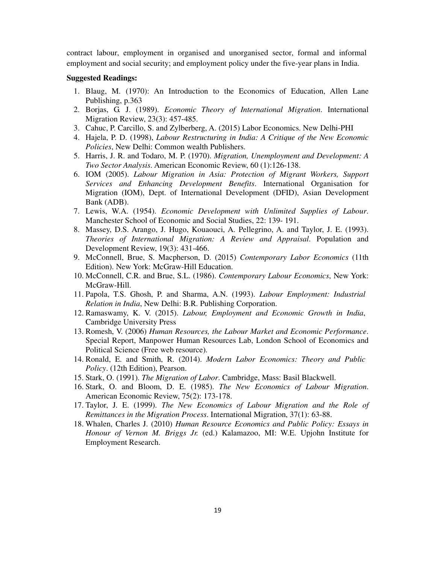contract labour, employment in organised and unorganised sector, formal and informal employment and social security; and employment policy under the five-year plans in India.

#### **Suggested Readings:**

- 1. Blaug, M. (1970): An Introduction to the Economics of Education, Allen Lane Publishing, p.363
- 2. Borjas, G. J. (1989). *Economic Theory of International Migration*. International Migration Review, 23(3): 457-485.
- 3. Cahuc, P. Carcillo, S. and Zylberberg, A. (2015) Labor Economics. New Delhi-PHI
- 4. Hajela, P. D. (1998), *Labour Restructuring in India: A Critique of the New Economic Policies*, New Delhi: Common wealth Publishers.
- 5. Harris, J. R. and Todaro, M. P. (1970). *Migration, Unemployment and Development: A Two Sector Analysis*. American Economic Review, 60 (1):126-138.
- 6. IOM (2005). *Labour Migration in Asia: Protection of Migrant Workers, Support Services and Enhancing Development Benefits*. International Organisation for Migration (IOM), Dept. of International Development (DFID), Asian Development Bank (ADB).
- 7. Lewis, W.A. (1954). *Economic Development with Unlimited Supplies of Labour*. Manchester School of Economic and Social Studies, 22: 139- 191.
- 8. Massey, D.S. Arango, J. Hugo, Kouaouci, A. Pellegrino, A. and Taylor, J. E. (1993). *Theories of International Migration: A Review and Appraisal*. Population and Development Review, 19(3): 431-466.
- 9. McConnell, Brue, S. Macpherson, D. (2015) *Contemporary Labor Economics* (11th Edition). New York: McGraw-Hill Education.
- 10. McConnell, C.R. and Brue, S.L. (1986). *Contemporary Labour Economics*, New York: McGraw-Hill.
- 11. Papola, T.S. Ghosh, P. and Sharma, A.N. (1993). *Labour Employment: Industrial Relation in India*, New Delhi: B.R. Publishing Corporation.
- 12. Ramaswamy, K. V. (2015). *Labour, Employment and Economic Growth in India*, Cambridge University Press
- 13. Romesh, V. (2006) *Human Resources, the Labour Market and Economic Performance*. Special Report, Manpower Human Resources Lab, London School of Economics and Political Science (Free web resource).
- 14. Ronald, E. and Smith, R. (2014). *Modern Labor Economics: Theory and Public Policy*. (12th Edition), Pearson.
- 15. Stark, O. (1991). *The Migration of Labor*. Cambridge, Mass: Basil Blackwell.
- 16. Stark, O. and Bloom, D. E. (1985). *The New Economics of Labour Migration*. American Economic Review, 75(2): 173-178.
- 17. Taylor, J. E. (1999). *The New Economics of Labour Migration and the Role of Remittances in the Migration Process*. International Migration, 37(1): 63-88.
- 18. Whalen, Charles J. (2010) *Human Resource Economics and Public Policy: Essays in Honour of Vernon M. Briggs Jr.* (ed.) Kalamazoo, MI: W.E. Upjohn Institute for Employment Research.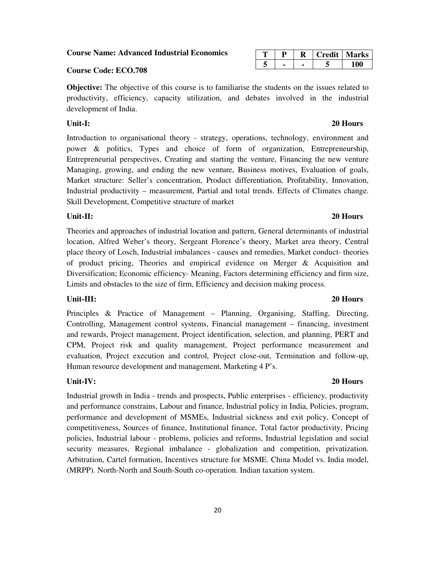**Course Name: Advanced Industrial Economics** 

#### **Course Code: ECO.708**

**Objective:** The objective of this course is to familiarise the students on the issues related to productivity, efficiency, capacity utilization, and debates involved in the industrial development of India.

#### **Unit-I: 20 Hours**

Introduction to organisational theory - strategy, operations, technology, environment and power & politics, Types and choice of form of organization, Entrepreneurship, Entrepreneurial perspectives, Creating and starting the venture, Financing the new venture Managing, growing, and ending the new venture, Business motives, Evaluation of goals, Market structure: Seller's concentration, Product differentiation, Profitability, Innovation, Industrial productivity – measurement, Partial and total trends. Effects of Climates change. Skill Development, Competitive structure of market

#### **Unit-II: 20 Hours**

Theories and approaches of industrial location and pattern, General determinants of industrial location, Alfred Weber's theory, Sergeant Florence's theory, Market area theory, Central place theory of Losch, Industrial imbalances - causes and remedies, Market conduct- theories of product pricing, Theories and empirical evidence on Merger & Acquisition and Diversification; Economic efficiency- Meaning, Factors determining efficiency and firm size, Limits and obstacles to the size of firm, Efficiency and decision making process.

#### **Unit-III: 20 Hours**

Principles & Practice of Management – Planning, Organising, Staffing, Directing, Controlling, Management control systems, Financial management – financing, investment and rewards, Project management, Project identification, selection, and planning, PERT and CPM, Project risk and quality management, Project performance measurement and evaluation, Project execution and control, Project close-out, Termination and follow-up, Human resource development and management, Marketing 4 P's.

Industrial growth in India - trends and prospects, Public enterprises - efficiency, productivity and performance constrains, Labour and finance, Industrial policy in India, Policies, program, performance and development of MSMEs, Industrial sickness and exit policy, Concept of competitiveness, Sources of finance, Institutional finance, Total factor productivity, Pricing policies, Industrial labour - problems, policies and reforms, Industrial legislation and social security measures, Regional imbalance - globalization and competition, privatization. Arbitration, Cartel formation, Incentives structure for MSME. China Model vs. India model, (MRPP). North-North and South-South co-operation. Indian taxation system.

|  |  | <b>Credit   Marks</b> |
|--|--|-----------------------|
|  |  |                       |

#### **Unit-IV: 20 Hours**

20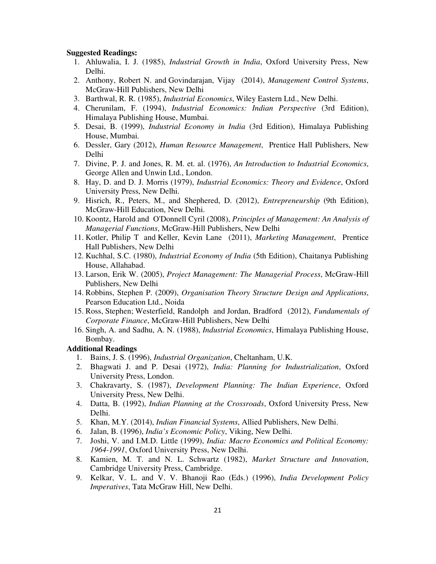#### **Suggested Readings:**

- 1. Ahluwalia, I. J. (1985), *Industrial Growth in India*, Oxford University Press, New Delhi.
- 2. Anthony, Robert N. and Govindarajan, Vijay (2014), *Management Control Systems*, McGraw-Hill Publishers, New Delhi
- 3. Barthwal, R. R. (1985), *Industrial Economics*, Wiley Eastern Ltd., New Delhi.
- 4. Cherunilam, F. (1994), *Industrial Economics: Indian Perspective* (3rd Edition), Himalaya Publishing House, Mumbai.
- 5. Desai, B. (1999), *Industrial Economy in India* (3rd Edition), Himalaya Publishing House, Mumbai.
- 6. Dessler, Gary (2012), *Human Resource Management*, Prentice Hall Publishers, New Delhi
- 7. Divine, P. J. and Jones, R. M. et. al. (1976), *An Introduction to Industrial Economics*, George Allen and Unwin Ltd., London.
- 8. Hay, D. and D. J. Morris (1979), *Industrial Economics: Theory and Evidence*, Oxford University Press, New Delhi.
- 9. Hisrich, R., Peters, M., and Shephered, D. (2012), *Entrepreneurship* (9th Edition), McGraw-Hill Education, New Delhi.
- 10. Koontz, Harold and O'Donnell Cyril (2008), *Principles of Management: An Analysis of Managerial Functions*, McGraw-Hill Publishers, New Delhi
- 11. Kotler, Philip T and Keller, Kevin Lane (2011), *Marketing Management*, Prentice Hall Publishers, New Delhi
- 12. Kuchhal, S.C. (1980), *Industrial Economy of India* (5th Edition), Chaitanya Publishing House, Allahabad.
- 13. Larson, Erik W. (2005), *Project Management: The Managerial Process*, McGraw-Hill Publishers, New Delhi
- 14. Robbins, Stephen P. (2009), *Organisation Theory Structure Design and Applications*, Pearson Education Ltd., Noida
- 15. Ross, Stephen; Westerfield, Randolph and Jordan, Bradford (2012), *Fundamentals of Corporate Finance*, McGraw-Hill Publishers, New Delhi
- 16. Singh, A. and Sadhu, A. N. (1988), *Industrial Economics*, Himalaya Publishing House, Bombay.

#### **Additional Readings**

- 1. Bains, J. S. (1996), *Industrial Organization*, Cheltanham, U.K.
- 2. Bhagwati J. and P. Desai (1972), *India: Planning for Industrialization*, Oxford University Press, London.
- 3. Chakravarty, S. (1987), *Development Planning: The Indian Experience*, Oxford University Press, New Delhi.
- 4. Datta, B. (1992), *Indian Planning at the Crossroads*, Oxford University Press, New Delhi.
- 5. Khan, M.Y. (2014), *Indian Financial Systems*, Allied Publishers, New Delhi.
- 6. Jalan, B. (1996), *India's Economic Policy*, Viking, New Delhi.
- 7. Joshi, V. and I.M.D. Little (1999), *India: Macro Economics and Political Economy: 1964-1991*, Oxford University Press, New Delhi.
- 8. Kamien, M. T. and N. L. Schwartz (1982), *Market Structure and Innovation*, Cambridge University Press, Cambridge.
- 9. Kelkar, V. L. and V. V. Bhanoji Rao (Eds.) (1996), *India Development Policy Imperatives*, Tata McGraw Hill, New Delhi.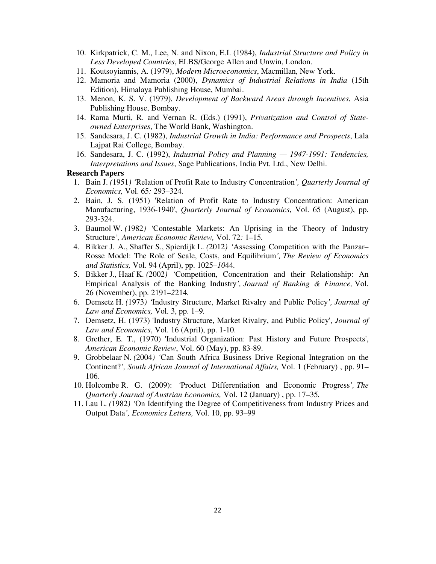- 10. Kirkpatrick, C. M., Lee, N. and Nixon, E.I. (1984), *Industrial Structure and Policy in Less Developed Countries*, ELBS/George Allen and Unwin, London.
- 11. Koutsoyiannis, A. (1979), *Modern Microeconomics*, Macmillan, New York.
- 12. Mamoria and Mamoria (2000), *Dynamics of Industrial Relations in India* (15th Edition), Himalaya Publishing House, Mumbai.
- 13. Menon, K. S. V. (1979), *Development of Backward Areas through Incentives*, Asia Publishing House, Bombay.
- 14. Rama Murti, R. and Vernan R. (Eds.) (1991), *Privatization and Control of Stateowned Enterprises*, The World Bank, Washington.
- 15. Sandesara, J. C. (1982), *Industrial Growth in India: Performance and Prospects*, Lala Lajpat Rai College, Bombay.
- 16. Sandesara, J. C. (1992), *Industrial Policy and Planning 1947-1991: Tendencies, Interpretations and Issues*, Sage Publications, India Pvt. Ltd., New Delhi.

#### **Research Papers**

- 1. Bain J. *(*1951*) '*Relation of Profit Rate to Industry Concentration*', Quarterly Journal of Economics,* Vol. 65*:* 293*–*324*.*
- 2. Bain, J. S. (1951) 'Relation of Profit Rate to Industry Concentration: American Manufacturing, 1936-1940', *Quarterly Journal of Economics*, Vol. 65 (August), pp. 293-324.
- 3. Baumol W. *(*1982*) '*Contestable Markets: An Uprising in the Theory of Industry Structure*', American Economic Review,* Vol. 72*:* 1*–*15*.*
- 4. Bikker J. A., Shaffer S., Spierdijk L. *(*2012*) '*Assessing Competition with the Panzar– Rosse Model: The Role of Scale, Costs, and Equilibrium*', The Review of Economics and Statistics,* Vol. 94 (April), pp. 1025*–10*44*.*
- 5. Bikker J., Haaf K. *(*2002*) '*Competition, Concentration and their Relationship: An Empirical Analysis of the Banking Industry*', Journal of Banking & Finance,* Vol. 26 (November), pp. 2191*–2*214*.*
- 6. Demsetz H. *(*1973*) '*Industry Structure, Market Rivalry and Public Policy*', Journal of Law and Economics,* Vol. 3, pp. 1*–*9*.*
- 7. Demsetz, H. (1973) 'Industry Structure, Market Rivalry, and Public Policy', *Journal of Law and Economics*, Vol. 16 (April), pp. 1-10.
- 8. Grether, E. T., (1970) 'Industrial Organization: Past History and Future Prospects', *American Economic Review*, Vol. 60 (May), pp. 83-89.
- 9. Grobbelaar N. *(*2004*) '*Can South Africa Business Drive Regional Integration on the Continent?*', South African Journal of International Affairs,* Vol. 1 (February) , pp. 91*–* 106*.*
- 10. Holcombe R. G. (2009): *'*Product Differentiation and Economic Progress*', The Quarterly Journal of Austrian Economics,* Vol. 12 (January) , pp. 17*–*35*.*
- 11. Lau L. *(*1982*) '*On Identifying the Degree of Competitiveness from Industry Prices and Output Data*', Economics Letters,* Vol. 10, pp. 93*–*99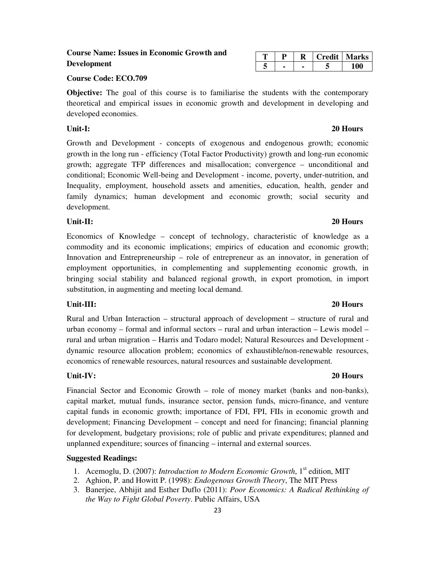## Growth and Development - concepts of exogenous and endogenous growth; economic growth in the long run - efficiency (Total Factor Productivity) growth and long-run economic

growth; aggregate TFP differences and misallocation; convergence – unconditional and conditional; Economic Well-being and Development - income, poverty, under-nutrition, and Inequality, employment, household assets and amenities, education, health, gender and family dynamics; human development and economic growth; social security and development.

**Objective:** The goal of this course is to familiarise the students with the contemporary theoretical and empirical issues in economic growth and development in developing and

### **Unit-II: 20 Hours**

developed economies.

Economics of Knowledge – concept of technology, characteristic of knowledge as a commodity and its economic implications; empirics of education and economic growth; Innovation and Entrepreneurship – role of entrepreneur as an innovator, in generation of employment opportunities, in complementing and supplementing economic growth, in bringing social stability and balanced regional growth, in export promotion, in import substitution, in augmenting and meeting local demand.

Rural and Urban Interaction – structural approach of development – structure of rural and urban economy – formal and informal sectors – rural and urban interaction – Lewis model – rural and urban migration – Harris and Todaro model; Natural Resources and Development dynamic resource allocation problem; economics of exhaustible/non-renewable resources, economics of renewable resources, natural resources and sustainable development.

#### **Unit-IV: 20 Hours**

Financial Sector and Economic Growth – role of money market (banks and non-banks), capital market, mutual funds, insurance sector, pension funds, micro-finance, and venture capital funds in economic growth; importance of FDI, FPI, FIIs in economic growth and development; Financing Development – concept and need for financing; financial planning for development, budgetary provisions; role of public and private expenditures; planned and unplanned expenditure; sources of financing – internal and external sources.

#### **Suggested Readings:**

- 1. Acemoglu, D. (2007): *Introduction to Modern Economic Growth*, 1<sup>st</sup> edition. MIT
- 2. Aghion, P. and Howitt P. (1998): *Endogenous Growth Theory*, The MIT Press
- 3. Banerjee, Abhijit and Esther Duflo (2011): *Poor Economics: A Radical Rethinking of the Way to Fight Global Poverty*. Public Affairs, USA

**Course Name: Issues in Economic Growth and** 

| æ |  | 'redit | Marks |
|---|--|--------|-------|
|   |  |        |       |

### **Unit-III: 20 Hours**

## 23